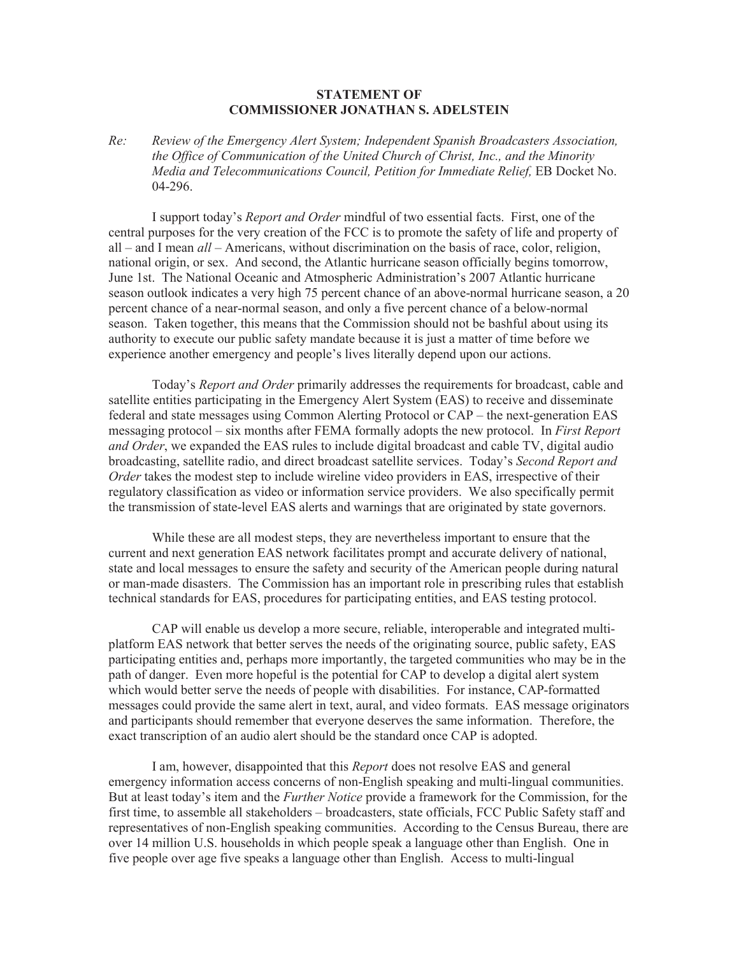## **STATEMENT OF COMMISSIONER JONATHAN S. ADELSTEIN**

*Re: Review of the Emergency Alert System; Independent Spanish Broadcasters Association, the Office of Communication of the United Church of Christ, Inc., and the Minority Media and Telecommunications Council, Petition for Immediate Relief,* EB Docket No. 04-296.

I support today's *Report and Order* mindful of two essential facts. First, one of the central purposes for the very creation of the FCC is to promote the safety of life and property of all – and I mean *all* – Americans, without discrimination on the basis of race, color, religion, national origin, or sex. And second, the Atlantic hurricane season officially begins tomorrow, June 1st. The National Oceanic and Atmospheric Administration's 2007 Atlantic hurricane season outlook indicates a very high 75 percent chance of an above-normal hurricane season, a 20 percent chance of a near-normal season, and only a five percent chance of a below-normal season. Taken together, this means that the Commission should not be bashful about using its authority to execute our public safety mandate because it is just a matter of time before we experience another emergency and people's lives literally depend upon our actions.

Today's *Report and Order* primarily addresses the requirements for broadcast, cable and satellite entities participating in the Emergency Alert System (EAS) to receive and disseminate federal and state messages using Common Alerting Protocol or CAP – the next-generation EAS messaging protocol – six months after FEMA formally adopts the new protocol. In *First Report and Order*, we expanded the EAS rules to include digital broadcast and cable TV, digital audio broadcasting, satellite radio, and direct broadcast satellite services. Today's *Second Report and Order* takes the modest step to include wireline video providers in EAS, irrespective of their regulatory classification as video or information service providers. We also specifically permit the transmission of state-level EAS alerts and warnings that are originated by state governors.

While these are all modest steps, they are nevertheless important to ensure that the current and next generation EAS network facilitates prompt and accurate delivery of national, state and local messages to ensure the safety and security of the American people during natural or man-made disasters. The Commission has an important role in prescribing rules that establish technical standards for EAS, procedures for participating entities, and EAS testing protocol.

CAP will enable us develop a more secure, reliable, interoperable and integrated multiplatform EAS network that better serves the needs of the originating source, public safety, EAS participating entities and, perhaps more importantly, the targeted communities who may be in the path of danger. Even more hopeful is the potential for CAP to develop a digital alert system which would better serve the needs of people with disabilities. For instance, CAP-formatted messages could provide the same alert in text, aural, and video formats. EAS message originators and participants should remember that everyone deserves the same information. Therefore, the exact transcription of an audio alert should be the standard once CAP is adopted.

I am, however, disappointed that this *Report* does not resolve EAS and general emergency information access concerns of non-English speaking and multi-lingual communities. But at least today's item and the *Further Notice* provide a framework for the Commission, for the first time, to assemble all stakeholders – broadcasters, state officials, FCC Public Safety staff and representatives of non-English speaking communities. According to the Census Bureau, there are over 14 million U.S. households in which people speak a language other than English. One in five people over age five speaks a language other than English. Access to multi-lingual